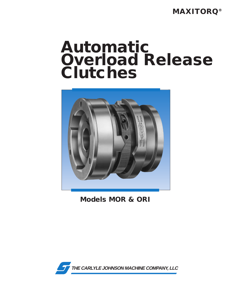**MAXITORQ®**

# **Automatic Overload Release Clutches**



**Models MOR & ORI**

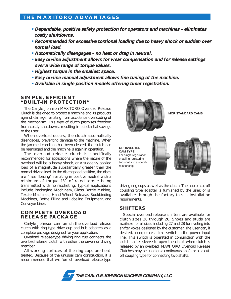## **THE MAXITORQ ADVANTAGES**

- **Dependable, positive safety protection for operators and machines eliminates costly shutdowns.**
- **Recommended for excessive torsional loading due to heavy shock or sudden over normal load.**
- **Automatically disengages no heat or drag in neutral.**
- **Easy on-line adjustment allows for wear compensation and for release settings over a wide range of torque values.**
- **Highest torque in the smallest space.**
- **Easy on-line manual adjustment allows fine tuning of the machine.**
- **Available in single position models offering timer registration.**

#### **SIMPLE, EFFICIENT "BUILT-IN PROTECTION"**

The Carlyle Johnson MAXITORQ Overload Release Clutch is designed to protect a machine and its products against damage resulting from accidental overloading of the mechanism. This type of clutch promises freedom from costly shutdowns, resulting in substantial savings to the user.

When overload occurs, the clutch automatically disengages, preventing damage to the machine. When the jammed condition has been cleared, the clutch can be reengaged and the machine is again in operation.

The overload release clutch is specifically recommended for applications where the nature of the overload will be a heavy shock, or a suddenly applied load of a magnitude substantially greater than the normal driving load. In the disengaged position, the discs are "free floating" resulting in positive neutral with a minimum of torque 1% of rated torque being transmitted with no ratcheting. Typical applications include Packaging Machinery, Glass Bottle Making, Textile Machines, Hand Wheel Release, Bookbinding Machines, Bottle Filling and Labeling Equipment, and Conveyor Lines.

#### **COMPLETE OVERLOAD RELEASE PACKAGE**

Carlyle Johnson can furnish the overload release clutch with ring type drive cup and hub adapters as a complete package designed for your application.

Overload release-type driving ring cup connects the overload release clutch with either the driven or driving member.

All working surfaces of the ring cups are heattreated. Because of the unusual cam construction, it is recommended that we furnish overload release-type



**MOR STANDARD CAMS**

**ORI INVERTED CAM TYPE**  For single registration enabling registering two shafts to a specific relationship.



driving ring cups as well as the clutch. The hub or cut-off coupling type adapter is furnished by the user, or is available through the factory to suit installation requirements.

### **SHIFTERS**

Special overload release shifters are available for clutch sizes 20 through 26. Shoes and studs are available for all sizes including 27 and 28 for riveting into shifter yokes designed by the customer. The user can, if desired, incorporate a limit switch in the power input line. This switch is operated in conjunction with the clutch shifter sleeve to open the circuit when clutch is released by an overload. MAXITORQ Overload Release Clutches may be used on a continuous shaft, or as a cutoff coupling type for connecting two shafts.

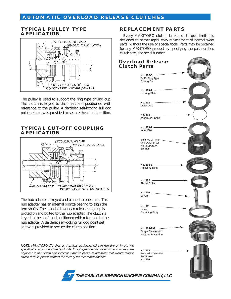## **AUTOMATIC OVERLOAD RELEASE CLUTCHES**

#### **TYPICAL PULLEY TYPE APPLICATION**



The pulley is used to support the ring type driving cup. The clutch is keyed to the shaft and positioned with reference to the pulley. A dardelet self-locking full dog point set screw is provided to secure the clutch position.

#### **TYPICAL CUT-OFF COUPLING APPLICATION**



The hub adapter is keyed and pinned to one shaft. This hub adapter has an internal bronze bearing to align the two shafts. The standard overload release ring cup is piloted on and bolted to the hub adapter. The clutch is keyed to the shaft and positioned with reference to the hub adapter. A dardelet self-locking full dog point set screw is provided to secure the clutch position.

NOTE: MAXITORQ Clutches and brakes as furnished can run dry or in oil. We specifically recommend Series A oils. If high gear loading or worm and wheels are adjacent to the clutch and indicate extreme pressure additives that would reduce clutch torque, please contact the factory for recommendations.

**Overload Release**

clutch size, and serial number.

**REPLACEMENT PARTS**

Every MAXITORQ clutch, brake, or torque limiter is designed to permit rapid, easy replacement of normal wear parts, without the use of special tools. Parts may be obtained for any MAXITORQ product by specifying the part number,

**No. 115-1** Locking Plate **No. 106-6** O. R. Ring Type Driving Cup **No. 112** Outer Disc **No. 114** separator Spring **No. 113-1** Inner Disc Balance of Inner and Outer Discs with Separator Springs **No. 105-1** Adjusting Ring **No. 108** Thrust Collar **No. 110** Levers **No. 111** Lever Retaining Ring **No. 104-999** Single Sleeve with Wedges Riveted in **No. 103** Body with Dardelet Set Screw **No. 116 Clutch Parts**